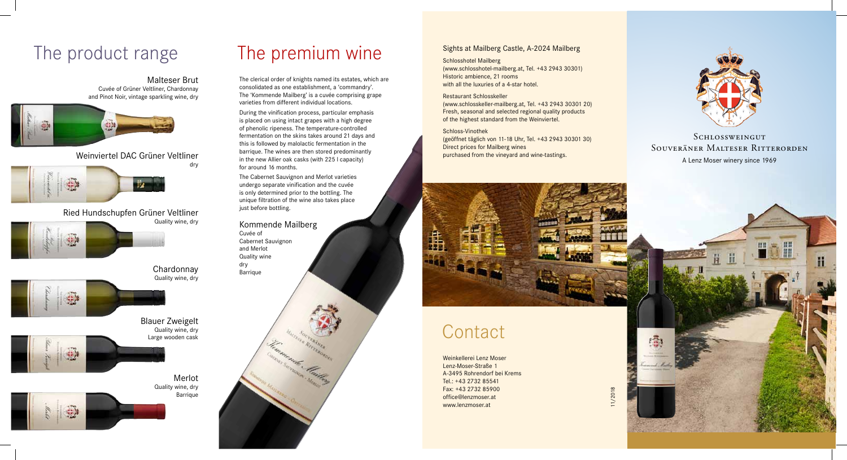Weinkellerei Lenz Moser Lenz-Moser-Straße 1 A-3495 Rohrendorf bei Krems Tel.: +43 2732 85541 Fax: +43 2732 85900 office@lenzmoser.at www.lenzmoser.at

## A Lenz Moser winery since 1969 **SCHLOSSWEINGUT** Souveräner Malteser Ritterorden



11/2018



# The product range The premium wine

#### Malteser Brut Cuvée of Grüner Veltliner, Chardonnay and Pinot Noir, vintage sparkling wine, dry



Weinviertel DAC Grüner Veltliner dry



Ried Hundschupfen Grüner Veltliner Quality wine, dry



Chardonnay Quality wine, dry

Blauer Zweigelt





Quality wine, dry Large wooden cask

> Merlot Quality wine, dry Barrique

The Cabernet Sauvignon and Merlot varieties undergo separate vinification and the cuvée is only determined prior to the bottling. The unique filtration of the wine also takes place just before bottling.

The clerical order of knights named its estates, which are consolidated as one establishment, a 'commandry'. The 'Kommende Mailberg' is a cuvée comprising grape varieties from different individual locations.

During the vinification process, particular emphasis is placed on using intact grapes with a high degree of phenolic ripeness. The temperature-controlled fermentation on the skins takes around 21 days and this is followed by malolactic fermentation in the barrique. The wines are then stored predominantly in the new Allier oak casks (with 225 l capacity) for around 16 months.

Kommende Mailberg Cuvée of Cabernet Sauvignon

and Merlot Quality wine dry Barrique

#### Sights at Mailberg Castle, A-2024 Mailberg

Schlosshotel Mailberg (www.schlosshotel-mailberg.at, Tel. +43 2943 30301) Historic ambience, 21 rooms with all the luxuries of a 4-star hotel.

#### Restaurant Schlosskeller

(www.schlosskeller-mailberg.at, Tel. +43 2943 30301 20) Fresh, seasonal and selected regional quality products of the highest standard from the Weinviertel.

#### Schloss-Vinothek

(geöffnet täglich von 11-18 Uhr, Tel. +43 2943 30301 30) Direct prices for Mailberg wines purchased from the vineyard and wine-tastings.



# **Contact**